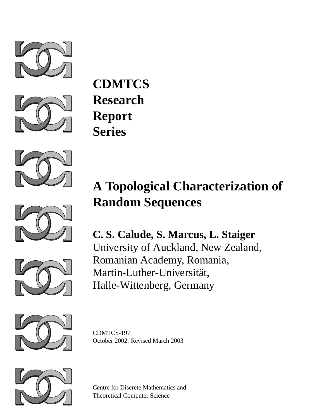



**CDMTCS Research Report Series**





**C. S. Calude, S. Marcus, L. Staiger** University of Auckland, New Zealand, Romanian Academy, Romania, Martin-Luther-Universität, Halle-Wittenberg, Germany



CDMTCS-197 October 2002. Revised March 2003



Centre for Discrete Mathematics and Theoretical Computer Science

# **A Topological Characterization of Random Sequences**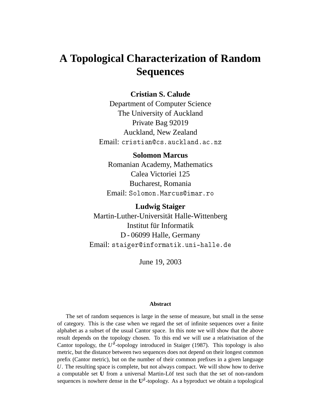# **A Topological Characterization of Random Sequences**

#### **Cristian S. Calude**

Department of Computer Science The University of Auckland Private Bag 92019 Auckland, New Zealand Email: cristian@cs.auckland.ac.nz

#### **Solomon Marcus**

Romanian Academy, Mathematics Calea Victoriei 125 Bucharest, Romania Email: Solomon.Marcus@imar.ro

**Ludwig Staiger** Martin-Luther-Universität Halle-Wittenberg Institut für Informatik D - 06099 Halle, Germany Email: staiger@informatik.uni-halle.de

June 19, 2003

#### **Abstract**

The set of random sequences is large in the sense of measure, but small in the sense of category. This is the case when we regard the set of infinite sequences over a finite alphabet as a subset of the usual Cantor space. In this note we will show that the above result depends on the topology chosen. To this end we will use a relativisation of the Cantor topology, the  $U^{\delta}$ -topology introduced in Staiger (1987). This topology is also metric, but the distance between two sequences does not depend on their longest common prefix (Cantor metric), but on the number of their common prefixes in a given language *U*. The resulting space is complete, but not always compact. We will show how to derive a computable set **U** from a universal Martin-Löf test such that the set of non-random sequences is nowhere dense in the  $U^{\delta}$ -topology. As a byproduct we obtain a topological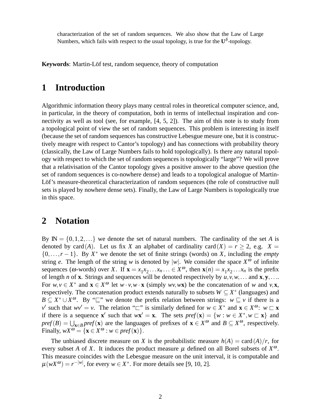characterization of the set of random sequences. We also show that the Law of Large Numbers, which fails with respect to the usual topology, is true for the **U** δ -topology.

**Keywords**: Martin-Löf test, random sequence, theory of computation

### **1 Introduction**

Algorithmic information theory plays many central roles in theoretical computer science, and, in particular, in the theory of computation, both in terms of intellectual inspiration and connectivity as well as tool (see, for example, [4, 5, 2]). The aim of this note is to study from a topological point of view the set of random sequences. This problem is interesting in itself (because the set of random sequences has constructive Lebesgue mesure one, but it is constructively meagre with respect to Cantor's topology) and has connections with probability theory (classically, the Law of Large Numbers fails to hold topologically). Is there any natural topology with respect to which the set of random sequences is topologically "large"? We will prove that a relativisation of the Cantor topology gives a positive answer to the above question (the set of random sequences is co-nowhere dense) and leads to a topological analogue of Martin-Löf's measure-theoretical characterization of random sequences (the role of constructive null sets is played by nowhere dense sets). Finally, the Law of Large Numbers is topologically true in this space.

#### **2 Notation**

By  $\mathbb{N} = \{0, 1, 2, \ldots\}$  we denote the set of natural numbers. The cardinality of the set *A* is denoted by card(*A*). Let us fix *X* an alphabet of cardinality card(*X*) =  $r \ge 2$ , e.g. *X* =  $\{0,\ldots,r-1\}$ . By  $X^*$  we denote the set of finite strings (words) on *X*, including the *empty* string *e*. The length of the string *w* is denoted by |*w*|. We consider the space  $X^{\omega}$  of infinite sequences ( $\omega$ -words) over *X*. If  $\mathbf{x} = x_1 x_2 \dots x_n \dots \in X^{\omega}$ , then  $\mathbf{x}(n) = x_1 x_2 \dots x_n$  is the prefix of length *n* of **x**. Strings and sequences will be denoted respectively by  $u, v, w, \ldots$  and  $\mathbf{x}, \mathbf{y}, \ldots$ For  $w, v \in X^*$  and  $\mathbf{x} \in X^{\omega}$  let  $w \cdot v, w \cdot \mathbf{x}$  (simply  $wv, w\mathbf{x}$ ) be the concatenation of w and  $v, \mathbf{x}$ , respectively. The concatenation product extends naturally to subsets  $W \subseteq X^*$  (languages) and  $B \subseteq X^* \cup X^\omega$ . By " $\sqsubseteq$ " we denote the prefix relation between strings:  $w \sqsubseteq v$  if there is a *v*0 such that  $wv' = v$ . The relation " $\Box$ " is similarly defined for  $w \in X^*$  and  $\mathbf{x} \in X^{\omega}$ :  $w \Box \mathbf{x}$ if there is a sequence **x**<sup>*'*</sup> such that  $w$ **x**<sup>*'*</sup> = **x**. The sets  $pref$ (**x**) = { $w : w \in X^*$ ,  $w \subset \mathbf{x}$ } and  $pref(B) = \bigcup_{\mathbf{x} \in B} pref(\mathbf{x})$  are the languages of prefixes of  $\mathbf{x} \in X^{\omega}$  and  $B \subseteq X^{\omega}$ , respectively. Finally,  $wX^{\omega} = {\mathbf{x} \in X^{\omega} : w \in pref(\mathbf{x})}.$ 

The unbiased discrete measure on *X* is the probabilistic measure  $h(A) = \text{card}(A)/r$ , for every subset *A* of *X*. It induces the product measure  $\mu$  defined on all Borel subsets of  $X^{\omega}$ . This measure coincides with the Lebesgue measure on the unit interval, it is computable and  $\mu(wX^{\omega}) = r^{-|w|}$ , for every  $w \in X^*$ . For more details see [9, 10, 2].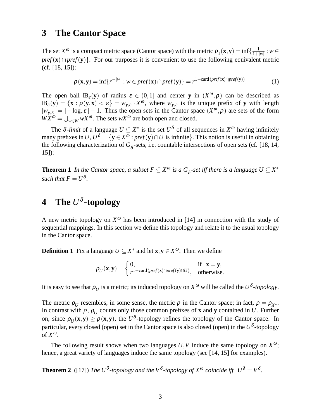#### **3 The Cantor Space**

The set  $X^{\omega}$  is a compact metric space (Cantor space) with the metric  $\rho_1(\mathbf{x}, \mathbf{y}) = \inf\{\frac{1}{1+|}$  $\frac{1}{1+|w|}:w\in$ *pref*(**x**)∩*pref*(**v**)}. For our purposes it is convenient to use the following equivalent metric (cf. [18, 15]):

$$
\rho(\mathbf{x}, \mathbf{y}) = \inf \{ r^{-|w|} : w \in pref(\mathbf{x}) \cap pref(\mathbf{y}) \} = r^{1 - \text{card}(pref(\mathbf{x}) \cap pref(\mathbf{y}))}.
$$
 (1)

The open ball  $\mathbb{B}_{\varepsilon}(y)$  of radius  $\varepsilon \in (0,1]$  and center **y** in  $(X^{\omega}, \rho)$  can be described as  $IB_{\varepsilon}(y) = \{x : \rho(y,x) < \varepsilon\} = w_{y,\varepsilon} \cdot X^{\omega}$ , where  $w_{y,\varepsilon}$  is the unique prefix of y with length  $|w_{y,\varepsilon}| = \lfloor -\log_{r} \varepsilon \rfloor + 1$ . Thus the open sets in the Cantor space  $(X^{\omega}, \rho)$  are sets of the form  $\overline{WX}^{\omega} = \bigcup_{w \in W} wX^{\omega}$ . The sets  $wX^{\omega}$  are both open and closed.

The  $\delta$ -*limit* of a language  $U \subseteq X^*$  is the set  $U^{\delta}$  of all sequences in  $X^{\omega}$  having infinitely many prefixes in  $U, U^{\delta} = \{ y \in X^{\omega} : pref(y) \cap U \text{ is infinite} \}.$  This notion is useful in obtaining the following characterization of  $G_{\delta}$ -sets, i.e. countable intersections of open sets (cf. [18, 14, 15]):

**Theorem 1** *In the Cantor space, a subset*  $F \subseteq X^{\omega}$  *is a*  $G_{\delta}$ -set *iff there is a language*  $U \subseteq X^*$ such that  $F = U^{\delta}$ .

# **4 The** *U* δ **-topology**

A new metric topology on  $X^{\omega}$  has been introduced in [14] in connection with the study of sequential mappings. In this section we define this topology and relate it to the usual topology in the Cantor space.

**Definition 1** Fix a language  $U \subseteq X^*$  and let  $\mathbf{x}, \mathbf{y} \in X^\omega$ . Then we define

$$
\rho_U(\mathbf{x}, \mathbf{y}) = \begin{cases} 0, & \text{if } \mathbf{x} = \mathbf{y}, \\ r^{1-\text{card}(pref(\mathbf{x}) \cap pref(\mathbf{y}) \cap U)}, & \text{otherwise.} \end{cases}
$$

It is easy to see that  $\rho_U$  is a metric; its induced topology on  $X^\omega$  will be called the  $U^\delta$ -topology.

The metric  $\rho_U$  resembles, in some sense, the metric  $\rho$  in the Cantor space; in fact,  $\rho = \rho_{X^*}$ . In contrast with  $\rho$ ,  $\rho_U$  counts only those common prefixes of **x** and **y** contained in *U*. Further on, since  $\rho_U(\mathbf{x}, \mathbf{y}) \ge \rho(\mathbf{x}, \mathbf{y})$ , the  $U^{\delta}$ -topology refines the topology of the Cantor space. In particular, every closed (open) set in the Cantor space is also closed (open) in the *U* δ -topology of  $X^{\omega}$ .

The following result shows when two languages  $U, V$  induce the same topology on  $X^{\omega}$ ; hence, a great variety of languages induce the same topology (see [14, 15] for examples).

**Theorem 2** ([17]) *The U*<sup>δ</sup>-topology and the V<sup>δ</sup>-topology of  $X^{\omega}$  coincide iff  $U^{\delta} = V^{\delta}$ .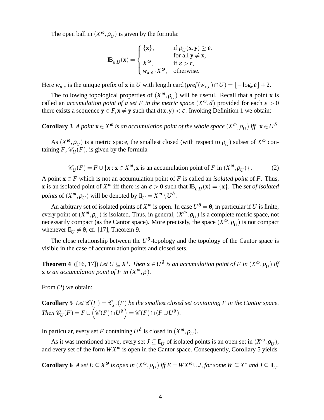The open ball in  $(X^{\omega}, \rho_U)$  is given by the formula:

$$
\mathbf{IB}_{\varepsilon,U}(\mathbf{x}) = \begin{cases} \{\mathbf{x}\}, & \text{if } \rho_U(\mathbf{x}, \mathbf{y}) \ge \varepsilon, \\ x^{\omega}, & \text{if } \varepsilon > r, \\ w_{\mathbf{x}, \varepsilon} \cdot X^{\omega}, & \text{otherwise.} \end{cases}
$$

Here  $w_{\mathbf{x}, \varepsilon}$  is the unique prefix of **x** in *U* with length card  $(pref(w_{\mathbf{x}, \varepsilon}) \cap U) = \lfloor -\log_{r} \varepsilon \rfloor + 2$ .

The following topological properties of  $(X^{\omega}, \rho_U)$  will be useful. Recall that a point **x** is called an *accumulation point of a set F in the metric space*  $(X^{\omega}, d)$  provided for each  $\varepsilon > 0$ there exists a sequence  $y \in F$ ,  $x \neq y$  such that  $d(x, y) < \varepsilon$ . Invoking Definition 1 we obtain:

**Corollary 3** *A point*  $\mathbf{x} \in X^{\omega}$  *is an accumulation point of the whole space*  $(X^{\omega}, \rho_U)$  *iff*  $\mathbf{x} \in U^{\delta}$ *.* 

As  $(X^{\omega}, \rho_U)$  is a metric space, the smallest closed (with respect to  $\rho_U$ ) subset of  $X^{\omega}$  containing  $F$ ,  $\mathscr{C}_U(F)$ , is given by the formula

$$
\mathscr{C}_U(F) = F \cup \{ \mathbf{x} : \mathbf{x} \in X^{\omega}, \mathbf{x} \text{ is an accumulation point of } F \text{ in } (X^{\omega}, \rho_U) \}.
$$
 (2)

A point **x** ∈ *F* which is not an accumulation point of *F* is called an *isolated point* of *F*. Thus, **x** is an isolated point of  $X^{\omega}$  iff there is an  $\varepsilon > 0$  such that  $\mathbb{B}_{\varepsilon,U}(\mathbf{x}) = \{\mathbf{x}\}\$ . The *set of isolated points* of  $(X^{\omega}, \rho_U)$  will be denoted by  $\mathbf{I}_U = X^{\omega} \setminus U^{\delta}$ .

An arbitrary set of isolated points of  $X^{\omega}$  is open. In case  $U^{\delta} = \emptyset$ , in particular if *U* is finite, every point of  $(X^{\omega}, \rho_U)$  is isolated. Thus, in general,  $(X^{\omega}, \rho_U)$  is a complete metric space, not necessarily compact (as the Cantor space). More precisely, the space  $(X^{\omega}, \rho_U)$  is not compact whenever  $\mathbf{I}_{U}^{U} \neq \emptyset$ , cf. [17], Theorem 9.

The close relationship between the  $U^{\delta}$ -topology and the topology of the Cantor space is visible in the case of accumulation points and closed sets.

**Theorem 4** ([16, 17]) Let  $U \subseteq X^*$ . Then  $\mathbf{x} \in U^{\delta}$  is an accumulation point of F in  $(X^{\omega}, \rho_U)$  iff **x** *is an accumulation point of*  $F$  *in*  $(X^{\omega}, \rho)$ *.* 

From (2) we obtain:

**Corollary 5** *Let*  $\mathcal{C}(F) = \mathcal{C}_{X^*}(F)$  *be the smallest closed set containing F in the Cantor space.*  $\mathcal{L}$ *Ihen*  $\mathscr{C}_U(F) = F \cup \left( \mathscr{C}(F) \cap U^\delta \right) = \mathscr{C}(F) \cap (F \cup U^\delta).$ 

In particular, every set *F* containing  $U^{\delta}$  is closed in  $(X^{\omega}, \rho_U)$ .

As it was mentioned above, every set  $J \subseteq \mathbb{I}_U$  of isolated points is an open set in  $(X^{\omega}, \rho_U)$ , and every set of the form  $WX^{\omega}$  is open in the Cantor space. Consequently, Corollary 5 yields

**Corollary 6** *A set*  $E \subseteq X^{\omega}$  *is open in*  $(X^{\omega}, \rho_U)$  *iff*  $E = W X^{\omega} \cup J$ , for some  $W \subseteq X^*$  and  $J \subseteq \mathbb{I}_U$ .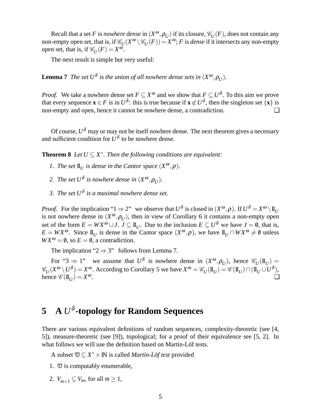Recall that a set *F* is *nowhere dense* in  $(X^\omega, \rho_U)$  if its closure,  $\mathscr{C}_U(F)$ , does not contain any non-empty open set, that is, if  $\mathscr{C}_U(X^\omega \setminus \mathscr{C}_U(F)) = X^\omega$ ; *F* is *dense* if it intersects any non-empty open set, that is, if  $\mathcal{C}_U(F) = X^{\omega}$ .

The next result is simple but very useful:

**Lemma 7** *The set*  $U^{\delta}$  *is the union of all nowhere dense sets in*  $(X^{\omega}, \rho_U)$ *.* 

*Proof.* We take a nowhere dense set  $F \subseteq X^\omega$  and we show that  $F \subseteq U^\delta$ . To this aim we prove that every sequence  $\mathbf{x} \in F$  is in  $U^{\delta}$ : this is true because if  $\mathbf{x} \notin U^{\delta}$ , then the singleton set  $\{\mathbf{x}\}$  is non-empty and open, hence it cannot be nowhere dense, a contradiction. □

Of course,  $U^{\delta}$  may or may not be itself nowhere dense. The next theorem gives a necessary and sufficient condition for  $U^{\delta}$  to be nowhere dense.

**Theorem 8** *Let*  $U \subseteq X^*$ . Then the following conditions are equivalent:

- *1. The set*  $\mathbf{I}_{U}$  *is dense in the Cantor space*  $(X^{\omega}, \rho)$ *.*
- 2. The set  $U^{\delta}$  is nowhere dense in  $(X^{\omega}, \rho_{U})$ .
- *3. The set U*<sup>δ</sup> *is a maximal nowhere dense set.*

*Proof.* For the implication " $1 \Rightarrow 2$ " we observe that  $U^{\delta}$  is closed in  $(X^{\omega}, \rho)$ . If  $U^{\delta} = X^{\omega} \setminus \mathbb{I}_{U}$ is not nowhere dense in  $(X^{\omega}, \rho_U)$ , then in view of Corollary 6 it contains a non-empty open set of the form  $E = W X^{\omega} \cup J$ ,  $J \subseteq \mathbb{I}_U$ . Due to the inclusion  $E \subseteq U^{\delta}$  we have  $J = \emptyset$ , that is,  $E = W X^{\omega}$ . Since  $\mathbb{I}_{U}$  is dense in the Cantor space  $(X^{\omega}, \rho)$ , we have  $\mathbb{I}_{U} \cap W X^{\omega} \neq \emptyset$  unless  $WX^{\omega} = \emptyset$ , so  $E = \emptyset$ , a contradiction.

The implication " $2 \Rightarrow 3$ " follows from Lemma 7.

For "3  $\Rightarrow$  1" we assume that  $U^{\delta}$  is nowhere dense in  $(X^{\omega}, \rho_U)$ , hence  $\mathscr{C}_U(\mathbb{I}_U)$  =  $\mathscr{C}_U(X^{\omega} \setminus U^{\delta}) = X^{\omega}$ . According to Corollary 5 we have  $X^{\omega} = \mathscr{C}_U(\mathbf{I}_U) = \mathscr{C}(\mathbf{I}_U) \cap (\mathbf{I}_U \cup U^{\delta}),$ hence  $\mathscr{C}(\mathbb{I}_U) = X$  $\omega$ .

## **5 A** *U* δ **-topology for Random Sequences**

There are various equivalent definitions of random sequences, complexity-theoretic (see [4, 5]), measure-theoretic (see [9]), topological; for a proof of their equivalence see [5, 2]. In what follows we will use the definition based on Martin-Löf tests.

A subset  $\mathfrak{V} \subseteq X^* \times \mathbb{N}$  is called *Martin-Löf test* provided

- 1.  $\mathfrak V$  is computably enumerable,
- 2.  $V_{m+1} \subseteq V_m$ , for all  $m \geq 1$ ,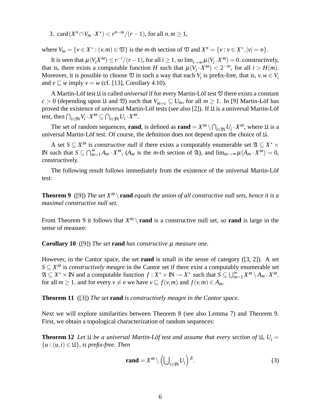3. card  $(X^n \cap V_m \cdot X^*) < r^{n-m}/(r-1)$ , for all  $n, m \ge 1$ ,

where  $V_m = \{v \in X^* : (v, m) \in \mathfrak{V}\}\)$  is the *m*-th section of  $\mathfrak{V}$  and  $X^n = \{v : v \in X^*, |v| = n\}.$ 

It is seen that  $\mu(V_i X^{\omega}) \le r^{-i}/(r-1)$ , for all  $i \ge 1$ , so  $\lim_{i \to \infty} \mu(V_i \cdot X^{\omega}) = 0$ , constructively, that is, there exists a computable function *H* such that  $\mu(V_i \cdot X^{\omega}) < 2^{-m}$ , for all  $i > H(m)$ . Moreover, it is possible to choose  $\mathfrak V$  in such a way that each  $V_i$  is prefix-free, that is,  $v, w \in V_i$ and  $v \sqsubseteq w$  imply  $v = w$  (cf. [13], Corollary 4.10).

A Martin-Löf test U is called *universal* if for every Martin-Löf test V there exists a constant  $c > 0$  (depending upon  $\mathfrak{U}$  and  $\mathfrak{V}$ ) such that  $V_{m+c} \subseteq U_m$ , for all  $m \geq 1$ . In [9] Martin-Löf has proved the existence of universal Martin-Löf tests (see also [2]). If U is a universal Martin-Löf test, then  $\bigcap_{i\in\mathbb{N}}V_i\cdot X^\omega\subseteq\bigcap_{i\in\mathbb{N}}U_i\cdot X^\omega$ .

The set of random sequences, **rand**, is defined as **rand** =  $X^{\omega} \setminus \bigcap_{i \in \mathbb{N}} U_i \cdot X^{\omega}$ , where  $\mathfrak{U}$  is a universal Martin-Löf test. Of course, the definition does not depend upon the choice of U.

A set  $S \subseteq X^{\omega}$  is *constructive null* if there exists a computably enumerable set  $\mathfrak{A} \subseteq X^* \times$ IN such that *S* ⊆  $\bigcap_{m=1}^{\infty} A_m \cdot X^{\omega}$ , (*A<sub>m</sub>* is the *m*-th section of λ, and  $\lim_{m\to\infty} \mu(A_m \cdot X^{\omega}) = 0$ , constructively.

The following result follows immediately from the existence of the universal Martin-Löf test:

**Theorem 9** ([9]) *The set*  $X^{\omega} \setminus \text{rand}$  *equals the union of all constructive null sets, hence it is a maximal constructive null set.*

From Theorem 9 it follows that  $X^{\omega} \setminus \textbf{rand}$  is a constructive null set, so rand is large in the sense of measure:

**Corollary 10** ([9]) *The set* **rand** *has constructive* µ *measure one.*

However, in the Cantor space, the set **rand** is small in the sense of category ([3, 2]). A set  $S \subseteq X^{\omega}$  is *constructively meagre* in the Cantor set if there exist a computably enumerable set  $\mathfrak{A} \subseteq X^* \times \mathbb{N}$  and a computable function  $f : X^* \times \mathbb{N} \to X^*$  such that  $S \subseteq \bigcup_{m=1}^{\infty} X^{\omega} \setminus A_m \cdot X^{\omega}$ , for all  $m \ge 1$ , and for every  $v \ne e$  we have  $v \sqsubseteq f(v,m)$  and  $f(v,m) \in A_m$ .

**Theorem 11** ([3]) *The set* **rand** *is constructively meagre in the Cantor space.*

Next we will explore similarities between Theorem 8 (see also Lemma 7) and Theorem 9. First, we obtain a topological characterization of random sequences:

**Theorem 12** Let  $\mathfrak{U}$  be a universal Martin-Löf test and assume that every section of  $\mathfrak{U}$ ,  $U_i =$  ${u : (u,i) \in \mathfrak{U}}$ *, is prefix-free. Then* 

$$
rand = X^{\omega} \setminus \left( \bigcup_{i \in \mathbb{N}} U_i \right) \delta. \tag{3}
$$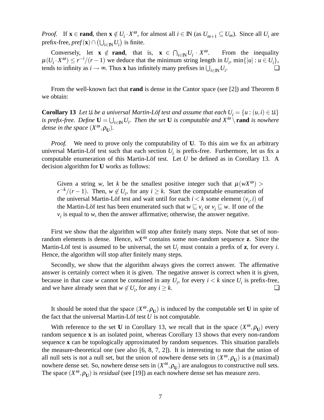*Proof.* If  $\mathbf{x} \in \text{rand}$ , then  $\mathbf{x} \notin U_i \cdot X^\omega$ , for almost all  $i \in \mathbb{N}$  (as  $U_{m+1} \subseteq U_m$ ). Since all  $U_i$  are prefix-free,  $pref(\mathbf{x})\cap(\bigcup_{i\in\mathbb{N}}U_i)$  is finite.

Conversely, let  $\mathbf{x} \notin \text{rand}$ , that is,  $\mathbf{x} \in \bigcap_{i \in \mathbb{N}} U_i \cdot X^\omega$ . From the inequality  $\mu(U_i \cdot X^{\omega}) \le r^{-i}/(r-1)$  we deduce that the minimum string length in  $U_i$ , min $\{|u| : u \in U_i\}$ , tends to infinity as  $i \to \infty$ . Thus **x** has infinitely many prefixes in  $\bigcup_{i \in \mathbb{N}} U_i$ . ❏

From the well-known fact that **rand** is dense in the Cantor space (see [2]) and Theorem 8 we obtain:

**Corollary 13** *Let*  $\mathfrak{U}$  *be a universal Martin-Löf test and assume that each*  $U_i = \{u : (u,i) \in \mathfrak{U}\}\$ *is prefix-free.* Define  $U = \bigcup_{i \in \mathbb{N}} U_i$ . Then the set U is computable and  $X^{\omega} \setminus \text{rand}$  *is nowhere dense in the space*  $(X^{\omega}, \rho_{\mathbf{U}})$ *.* 

*Proof.* We need to prove only the computability of **U**. To this aim we fix an arbitrary universal Martin-Löf test such that each section  $U_i$  is prefix-free. Furthermore, let us fix a computable enumeration of this Martin-Löf test. Let *U* be defined as in Corollary 13. A decision algorithm for **U** works as follows:

Given a string *w*, let *k* be the smallest positive integer such that  $\mu(wX^{\omega})$  $r^{-k}/(r-1)$ . Then,  $w \notin U_i$ , for any  $i \geq k$ . Start the computable enumeration of the universal Martin-Löf test and wait until for each  $i < k$  some element  $(v_i, i)$  of the Martin-Löf test has been enumerated such that  $w \sqsubseteq v_i$  or  $v_i \sqsubseteq w$ . If one of the  $v_i$  is equal to *w*, then the answer affirmative; otherwise, the answer negative.

First we show that the algorithm will stop after finitely many steps. Note that set of nonrandom elements is dense. Hence,  $wX^{\omega}$  contains some non-random sequence **z**. Since the Martin-Löf test is assumed to be universal, the set  $U_i$  must contain a prefix of **z**, for every *i*. Hence, the algorithm will stop after finitely many steps.

Secondly, we show that the algorithm always gives the correct answer. The affirmative answer is certainly correct when it is given. The negative answer is correct when it is given, because in that case *w* cannot be contained in any  $U_i$ , for every  $i < k$  since  $U_i$  is prefix-free, and we have already seen that  $w \notin U_i$ , for any  $i \geq k$ .

It should be noted that the space  $(X^{\omega}, \rho_{U})$  is induced by the computable set **U** in spite of the fact that the universal Martin-Löf test  $U$  is not computable.

With reference to the set **U** in Corollary 13, we recall that in the space  $(X^{\omega}, \rho_{U})$  every random sequence **x** is an isolated point, whereas Corollary 13 shows that every non-random sequence **x** can be topologically approximated by random sequences. This situation parallels the measure-theoretical one (see also [6, 8, 7, 2]). It is interesting to note that the union of all null sets is not a null set, but the union of nowhere dense sets in  $(X^{\omega}, \rho_{U})$  is a (maximal) nowhere dense set. So, nowhere dense sets in  $(X^{\omega}, \rho_{U})$  are analogous to constructive null sets. The space  $(X^{\omega}, \rho_{\mathbf{U}})$  is *residual* (see [19]) as each nowhere dense set has measure zero.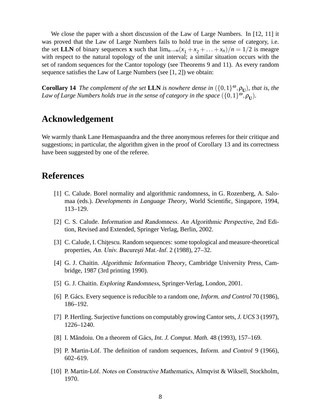We close the paper with a short discussion of the Law of Large Numbers. In [12, 11] it was proved that the Law of Large Numbers fails to hold true in the sense of category, i.e. the set **LLN** of binary sequences **x** such that  $\lim_{n\to\infty} (x_1 + x_2 + \ldots + x_n)/n = 1/2$  is meagre with respect to the natural topology of the unit interval; a similar situation occurs with the set of random sequences for the Cantor topology (see Theorems 9 and 11). As every random sequence satisfies the Law of Large Numbers (see [1, 2]) we obtain:

**Corollary 14** *The complement of the set* **LLN** *is nowhere dense in*  $({0,1}^{\omega}, \rho_{\text{U}})$ *, that is, the* Law of Large Numbers holds true in the sense of category in the space  $(\{0,1\}^{\omega}, \rho_{\mathbf{U}})$ .

#### **Acknowledgement**

We warmly thank Lane Hemaspaandra and the three anonymous referees for their critique and suggestions; in particular, the algorithm given in the proof of Corollary 13 and its correctness have been suggested by one of the referee.

#### **References**

- [1] C. Calude. Borel normality and algorithmic randomness, in G. Rozenberg, A. Salomaa (eds.). *Developments in Language Theory*, World Scientific, Singapore, 1994, 113–129.
- [2] C. S. Calude. Information and Randomness. An Algorithmic Perspective, 2nd Edition, Revised and Extended, Springer Verlag, Berlin, 2002.
- [3] C. Calude, I. Chitescu. Random sequences: some topological and measure-theoretical properties, An. Univ. București Mat.-Inf. 2 (1988), 27–32.
- [4] G. J. Chaitin. Algorithmic Information Theory, Cambridge University Press, Cambridge, 1987 (3rd printing 1990).
- [5] G. J. Chaitin. Exploring Randomness, Springer-Verlag, London, 2001.
- [6] P. Gács. Every sequence is reducible to a random one, *Inform. and Control* 70 (1986), 186–192.
- [7] P. Hertling. Surjective functions on computably growing Cantor sets, *J. UCS* 3 (1997), 1226–1240.
- [8] I. Măndoiu. On a theorem of Gács, *Int. J. Comput. Math.* 48 (1993), 157–169.
- [9] P. Martin-Löf. The definition of random sequences, Inform. and Control 9 (1966), 602–619.
- [10] P. Martin-Löf. Notes on Constructive Mathematics, Almqvist & Wiksell, Stockholm, 1970.